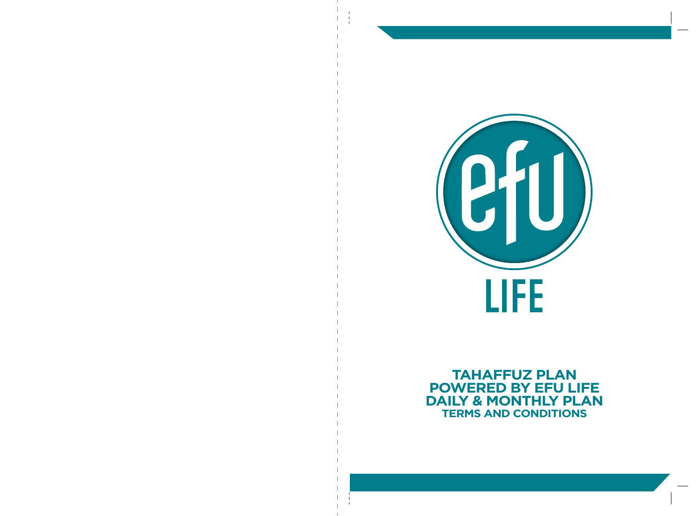

# **TAHAFFUZ PLAN POWERED BY EFU LIFE DAILY & MONTHLY PLAN TERMS AND CONDITIONS**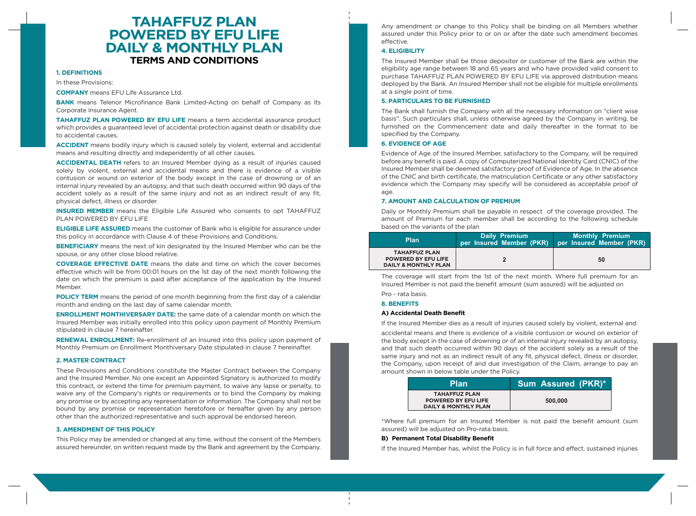# **TAHAFFUZ PLAN POWERED BY EFU LIFE DAILY & MONTHLY PLAN TERMS AND CONDITIONS**

## **1. DEFINITIONS**

In these Provisions:

**COMPANY** means EFU Life Assurance Ltd.

**BANK** means Telenor Microfinance Bank Limited-Acting on behalf of Company as its Corporate Insurance Agent.

**TAHAFFUZ PLAN POWERED BY EFU LIFE** means a term accidental assurance product which provides a guaranteed level of accidental protection against death or disability due to accidental causes.

**ACCIDENT** means bodily injury which is caused solely by violent, external and accidental means and resulting directly and independently of all other causes.

**ACCIDENTAL DEATH** refers to an Insured Member dying as a result of injuries caused solely by violent, external and accidental means and there is evidence of a visible contusion or wound on exterior of the body except in the case of drowning or of an internal injury revealed by an autopsy, and that such death occurred within 90 days of the accident solely as a result of the same injury and not as an indirect result of any fit, physical defect, illness or disorder.

**INSURED MEMBER** means the Eligible Life Assured who consents to opt TAHAFFUZ PLAN POWERED BY EFU LIFE

**ELIGIBLE LIFE ASSURED** means the customer of Bank who is eligible for assurance under this policy in accordance with Clause 4 of these Provisions and Conditions.

**BENEFICIARY** means the next of kin designated by the Insured Member who can be the spouse, or any other close blood relative.

**COVERAGE EFFECTIVE DATE** means the date and time on which the cover becomes effective which will be from 00:01 hours on the 1st day of the next month following the date on which the premium is paid after acceptance of the application by the Insured Member.

**POLICY TERM** means the period of one month beginning from the first day of a calendar month and ending on the last day of same calendar month.

**ENROLLMENT MONTHIVERSARY DATE:** the same date of a calendar month on which the Insured Member was initially enrolled into this policy upon payment of Monthly Premium stipulated in clause 7 hereinafter.

**RENEWAL ENROLLMENT:** Re-enrollment of an Insured into this policy upon payment of Monthly Premium on Enrollment Monthiversary Date stipulated in clause 7 hereinafter.

#### **2. MASTER CONTRACT**

These Provisions and Conditions constitute the Master Contract between the Company and the Insured Member. No one except an Appointed Signatory is authorized to modify this contract, or extend the time for premium payment, to waive any lapse or penalty, to waive any of the Company's rights or requirements or to bind the Company by making any promise or by accepting any representation or information. The Company shall not be bound by any promise or representation heretofore or hereafter given by any person other than the authorized representative and such approval be endorsed hereon.

#### **3. AMENDMENT OF THIS POLICY**

This Policy may be amended or changed at any time, without the consent of the Members assured hereunder, on written request made by the Bank and agreement by the Company.

Any amendment or change to this Policy shall be binding on all Members whether assured under this Policy prior to or on or after the date such amendment becomes effective.

# **4. ELIGIBILITY**

The Insured Member shall be those depositor or customer of the Bank are within the eligibility age range between 18 and 65 years and who have provided valid consent to purchase TAHAFFUZ PLAN POWERED BY EFU LIFE via approved distribution means deployed by the Bank. An Insured Member shall not be eligible for multiple enrollments at a single point of time.

#### **5. PARTICULARS TO BE FURNISHED**

The Bank shall furnish the Company with all the necessary information on "client wise basis". Such particulars shall, unless otherwise agreed by the Company in writing, be furnished on the Commencement date and daily thereafter in the format to be specified by the Company.

# **6. EVIDENCE OF AGE**

Evidence of Age of the Insured Member, satisfactory to the Company, will be required before any benefit is paid. A copy of Computerized National Identity Card (CNIC) of the Insured Member shall be deemed satisfactory proof of Evidence of Age. In the absence of the CNIC and birth certificate, the matriculation Certificate or any other satisfactory evidence which the Company may specify will be considered as acceptable proof of age.

#### **7. AMOUNT AND CALCULATION OF PREMIUM**

Daily or Monthly Premium shall be payable in respect of the coverage provided. The amount of Premium for each member shall be according to the following schedule based on the variants of the plan

| <b>Plan</b>                                                                           | Daily Premium<br>per Insured Member (PKR) | Monthly Premium<br>per Insured Member (PKR) |
|---------------------------------------------------------------------------------------|-------------------------------------------|---------------------------------------------|
| <b>TAHAFFUZ PLAN</b><br><b>POWERED BY EFU LIFE</b><br><b>DAILY &amp; MONTHLY PLAN</b> |                                           | 50                                          |

The coverage will start from the 1st of the next month. Where full premium for an Insured Member is not paid the benefit amount (sum assured) will be adjusted on

Pro - rata basis.

## **8. BENEFITS**

#### **A) Accidental Death Benefit**

If the Insured Member dies as a result of injuries caused solely by violent, external and

accidental means and there is evidence of a visible contusion or wound on exterior of the body except in the case of drowning or of an internal injury revealed by an autopsy, and that such death occurred within 90 days of the accident solely as a result of the same injury and not as an indirect result of any fit, physical defect, illness or disorder, the Company, upon receipt of and due investigation of the Claim, arrange to pay an amount shown in below table under the Policy.

| <b>Plan</b>                                                                           | Sum Assured (PKR)* |
|---------------------------------------------------------------------------------------|--------------------|
| <b>TAHAFFUZ PLAN</b><br><b>POWERED BY EFU LIFE</b><br><b>DAILY &amp; MONTHLY PLAN</b> | 500,000            |

\*Where full premium for an Insured Member is not paid the benefit amount (sum assured) will be adjusted on Pro-rata basis.

#### **B) Permanent Total Disability Benefit**

If the Insured Member has, whilst the Policy is in full force and effect, sustained injuries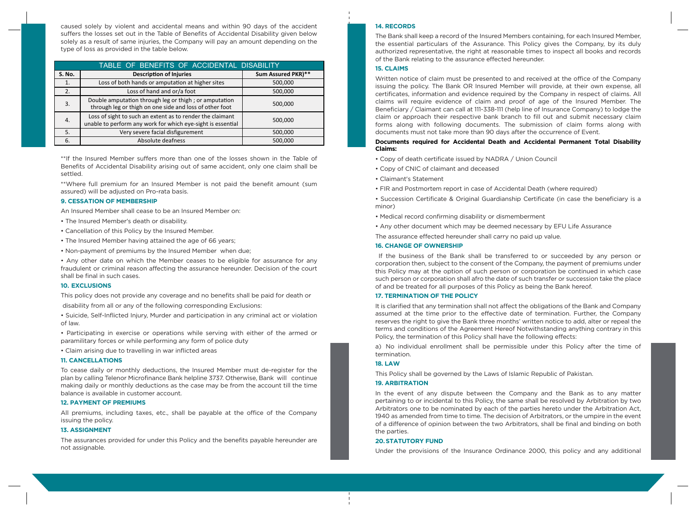caused solely by violent and accidental means and within 90 days of the accident suffers the losses set out in the Table of Benefits of Accidental Disability given below solely as a result of same injuries, the Company will pay an amount depending on the type of loss as provided in the table below.

| TABLE OF BENEFITS OF ACCIDENTAL DISABILITY |                                                                                                                          |                    |  |
|--------------------------------------------|--------------------------------------------------------------------------------------------------------------------------|--------------------|--|
| <b>S. No.</b>                              | <b>Description of Injuries</b>                                                                                           | Sum Assured PKR)** |  |
|                                            | Loss of both hands or amputation at higher sites                                                                         | 500,000            |  |
| 2.                                         | Loss of hand and or/a foot                                                                                               | 500,000            |  |
| 3.                                         | Double amputation through leg or thigh; or amputation<br>through leg or thigh on one side and loss of other foot         | 500,000            |  |
| 4.                                         | Loss of sight to such an extent as to render the claimant<br>unable to perform any work for which eye-sight is essential | 500,000            |  |
| 5.                                         | Very severe facial disfigurement                                                                                         | 500,000            |  |
| 6.                                         | Absolute deafness                                                                                                        | 500.000            |  |

\*\*If the Insured Member suffers more than one of the losses shown in the Table of Benefits of Accidental Disability arising out of same accident, only one claim shall be settled.

\*\*Where full premium for an Insured Member is not paid the benefit amount (sum assured) will be adjusted on Pro-rata basis.

#### **9. CESSATION OF MEMBERSHIP**

An Insured Member shall cease to be an Insured Member on:

- The Insured Member's death or disability.
- Cancellation of this Policy by the Insured Member.
- The Insured Member having attained the age of 66 years;
- Non-payment of premiums by the Insured Member when due;

• Any other date on which the Member ceases to be eligible for assurance for any fraudulent or criminal reason affecting the assurance hereunder. Decision of the court shall be final in such cases.

#### **10. EXCLUSIONS**

This policy does not provide any coverage and no benefits shall be paid for death or disability from all or any of the following corresponding Exclusions:

• Suicide, Self-Inflicted Injury, Murder and participation in any criminal act or violation of law.

• Participating in exercise or operations while serving with either of the armed or paramilitary forces or while performing any form of police duty

• Claim arising due to travelling in war inflicted areas

### **11. CANCELLATIONS**

To cease daily or monthly deductions, the Insured Member must de-register for the plan by calling Telenor Microfinance Bank helpline 3737. Otherwise, Bank will continue making daily or monthly deductions as the case may be from the account till the time balance is available in customer account.

# **12. PAYMENT OF PREMIUMS**

All premiums, including taxes, etc., shall be payable at the office of the Company issuing the policy.

#### **13. ASSIGNMENT**

The assurances provided for under this Policy and the benefits payable hereunder are not assignable.

## **14. RECORDS**

The Bank shall keep a record of the Insured Members containing, for each Insured Member, the essential particulars of the Assurance. This Policy gives the Company, by its duly authorized representative, the right at reasonable times to inspect all books and records of the Bank relating to the assurance effected hereunder.

#### **15. CLAIMS**

Written notice of claim must be presented to and received at the office of the Company issuing the policy. The Bank OR Insured Member will provide, at their own expense, all certificates, information and evidence required by the Company in respect of claims. All claims will require evidence of claim and proof of age of the Insured Member. The Beneficiary / Claimant can call at 111-338-111 (help line of Insurance Company) to lodge the claim or approach their respective bank branch to fill out and submit necessary claim forms along with following documents. The submission of claim forms along with documents must not take more than 90 days after the occurrence of Event.

#### **Documents required for Accidental Death and Accidental Permanent Total Disability Claims:**

• Copy of death certificate issued by NADRA / Union Council

- Copy of CNIC of claimant and deceased
- Claimant's Statement
- FIR and Postmortem report in case of Accidental Death (where required)
- Succession Certificate & Original Guardianship Certificate (in case the beneficiary is a minor)
- Medical record confirming disability or dismemberment
- Any other document which may be deemed necessary by EFU Life Assurance
- The assurance effected hereunder shall carry no paid up value.

## **16. CHANGE OF OWNERSHIP**

 If the business of the Bank shall be transferred to or succeeded by any person or corporation then, subject to the consent of the Company, the payment of premiums under this Policy may at the option of such person or corporation be continued in which case such person or corporation shall afro the date of such transfer or succession take the place of and be treated for all purposes of this Policy as being the Bank hereof.

#### **17. TERMINATION OF THE POLICY**

It is clarified that any termination shall not affect the obligations of the Bank and Company assumed at the time prior to the effective date of termination. Further, the Company reserves the right to give the Bank three months' written notice to add, alter or repeal the terms and conditions of the Agreement Hereof Notwithstanding anything contrary in this Policy, the termination of this Policy shall have the following effects:

a) No individual enrollment shall be permissible under this Policy after the time of termination.

# **18. LAW**

This Policy shall be governed by the Laws of Islamic Republic of Pakistan.

### **19. ARBITRATION**

In the event of any dispute between the Company and the Bank as to any matter pertaining to or incidental to this Policy, the same shall be resolved by Arbitration by two Arbitrators one to be nominated by each of the parties hereto under the Arbitration Act, 1940 as amended from time to time. The decision of Arbitrators, or the umpire in the event of a difference of opinion between the two Arbitrators, shall be final and binding on both the parties.

### **20. STATUTORY FUND**

Under the provisions of the Insurance Ordinance 2000, this policy and any additional